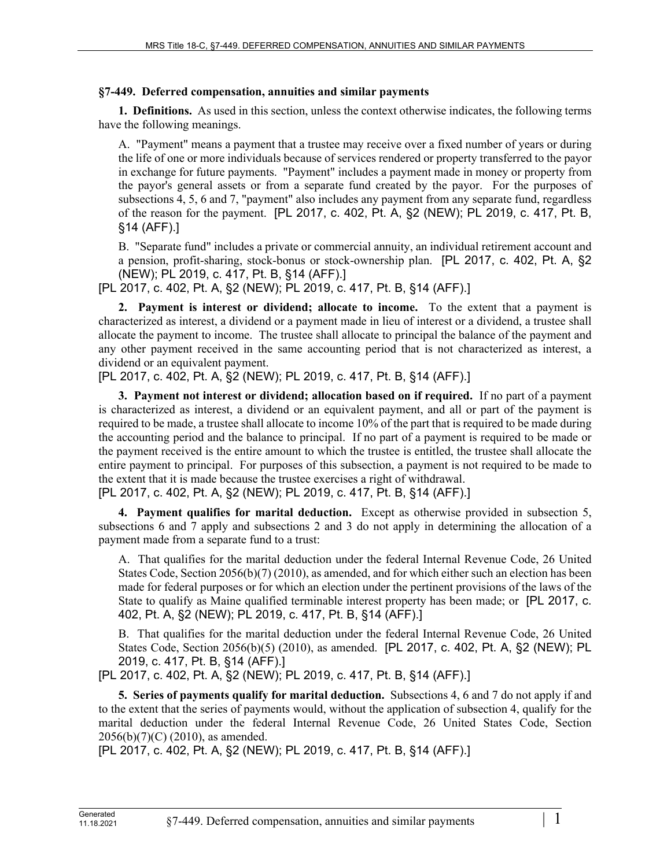## **§7-449. Deferred compensation, annuities and similar payments**

**1. Definitions.** As used in this section, unless the context otherwise indicates, the following terms have the following meanings.

A. "Payment" means a payment that a trustee may receive over a fixed number of years or during the life of one or more individuals because of services rendered or property transferred to the payor in exchange for future payments. "Payment" includes a payment made in money or property from the payor's general assets or from a separate fund created by the payor. For the purposes of subsections 4, 5, 6 and 7, "payment" also includes any payment from any separate fund, regardless of the reason for the payment. [PL 2017, c. 402, Pt. A, §2 (NEW); PL 2019, c. 417, Pt. B, §14 (AFF).]

B. "Separate fund" includes a private or commercial annuity, an individual retirement account and a pension, profit-sharing, stock-bonus or stock-ownership plan. [PL 2017, c. 402, Pt. A, §2 (NEW); PL 2019, c. 417, Pt. B, §14 (AFF).]

[PL 2017, c. 402, Pt. A, §2 (NEW); PL 2019, c. 417, Pt. B, §14 (AFF).]

**2. Payment is interest or dividend; allocate to income.** To the extent that a payment is characterized as interest, a dividend or a payment made in lieu of interest or a dividend, a trustee shall allocate the payment to income. The trustee shall allocate to principal the balance of the payment and any other payment received in the same accounting period that is not characterized as interest, a dividend or an equivalent payment.

[PL 2017, c. 402, Pt. A, §2 (NEW); PL 2019, c. 417, Pt. B, §14 (AFF).]

**3. Payment not interest or dividend; allocation based on if required.** If no part of a payment is characterized as interest, a dividend or an equivalent payment, and all or part of the payment is required to be made, a trustee shall allocate to income 10% of the part that is required to be made during the accounting period and the balance to principal. If no part of a payment is required to be made or the payment received is the entire amount to which the trustee is entitled, the trustee shall allocate the entire payment to principal. For purposes of this subsection, a payment is not required to be made to the extent that it is made because the trustee exercises a right of withdrawal.

[PL 2017, c. 402, Pt. A, §2 (NEW); PL 2019, c. 417, Pt. B, §14 (AFF).]

**4. Payment qualifies for marital deduction.** Except as otherwise provided in subsection 5, subsections 6 and 7 apply and subsections 2 and 3 do not apply in determining the allocation of a payment made from a separate fund to a trust:

A. That qualifies for the marital deduction under the federal Internal Revenue Code, 26 United States Code, Section 2056(b)(7) (2010), as amended, and for which either such an election has been made for federal purposes or for which an election under the pertinent provisions of the laws of the State to qualify as Maine qualified terminable interest property has been made; or [PL 2017, c. 402, Pt. A, §2 (NEW); PL 2019, c. 417, Pt. B, §14 (AFF).]

B. That qualifies for the marital deduction under the federal Internal Revenue Code, 26 United States Code, Section 2056(b)(5) (2010), as amended. [PL 2017, c. 402, Pt. A, §2 (NEW); PL 2019, c. 417, Pt. B, §14 (AFF).]

[PL 2017, c. 402, Pt. A, §2 (NEW); PL 2019, c. 417, Pt. B, §14 (AFF).]

**5. Series of payments qualify for marital deduction.** Subsections 4, 6 and 7 do not apply if and to the extent that the series of payments would, without the application of subsection 4, qualify for the marital deduction under the federal Internal Revenue Code, 26 United States Code, Section 2056(b)(7)(C) (2010), as amended.

[PL 2017, c. 402, Pt. A, §2 (NEW); PL 2019, c. 417, Pt. B, §14 (AFF).]